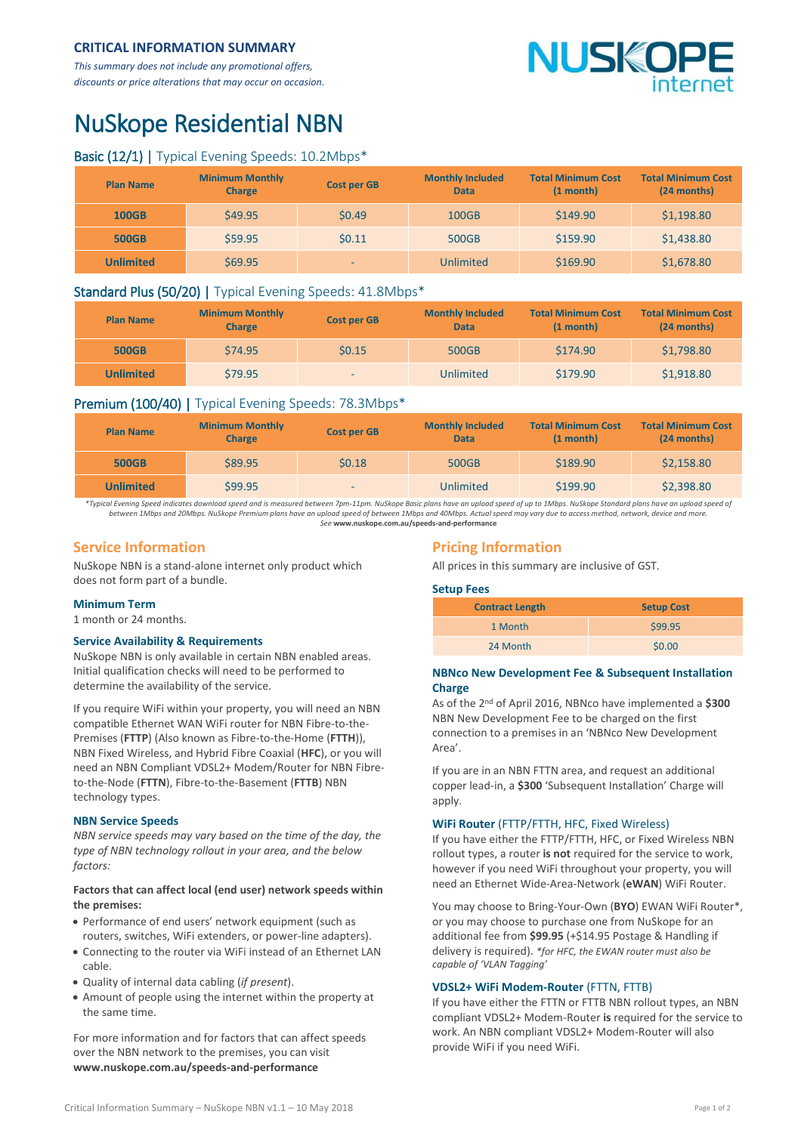# **CRITICAL INFORMATION SUMMARY**

*This summary does not include any promotional offers, discounts or price alterations that may occur on occasion.*

# **VUSKO**

# NuSkope Residential NBN

# Basic (12/1) | Typical Evening Speeds: 10.2Mbps\*

| <b>Plan Name</b> | <b>Minimum Monthly</b><br><b>Charge</b> | <b>Cost per GB</b> | <b>Monthly Included</b><br><b>Data</b> | <b>Total Minimum Cost</b><br>(1 month) | <b>Total Minimum Cost</b><br>(24 months) |
|------------------|-----------------------------------------|--------------------|----------------------------------------|----------------------------------------|------------------------------------------|
| <b>100GB</b>     | \$49.95                                 | \$0.49             | 100GB                                  | \$149.90                               | \$1,198.80                               |
| <b>500GB</b>     | \$59.95                                 | 50.11              | 500GB                                  | \$159.90                               | \$1,438.80                               |
| <b>Unlimited</b> | \$69.95                                 | -                  | Unlimited                              | \$169.90                               | \$1,678.80                               |

### Standard Plus (50/20) | Typical Evening Speeds: 41.8Mbps\*

| <b>Plan Name</b> | <b>Minimum Monthly</b><br><b>Charge</b> | <b>Cost per GB</b> | <b>Monthly Included</b><br><b>Data</b> | <b>Total Minimum Cost</b><br>$(1$ month $)$ | <b>Total Minimum Cost</b><br>(24 months) |
|------------------|-----------------------------------------|--------------------|----------------------------------------|---------------------------------------------|------------------------------------------|
| <b>500GB</b>     | \$74.95                                 | \$0.15             | 500GB                                  | \$174.90                                    | \$1,798.80                               |
| <b>Unlimited</b> | \$79.95                                 | ۰.                 | Unlimited                              | \$179.90                                    | \$1,918.80                               |

# Premium (100/40) | Typical Evening Speeds: 78.3Mbps\*

| <b>Plan Name</b> | <b>Minimum Monthly</b><br><b>Charge</b> | <b>Cost per GB</b> | <b>Monthly Included</b><br><b>Data</b> | <b>Total Minimum Cost</b><br>$(1 \text{ month})$ | <b>Total Minimum Cost</b><br>$(24$ months) |
|------------------|-----------------------------------------|--------------------|----------------------------------------|--------------------------------------------------|--------------------------------------------|
| <b>500GB</b>     | \$89.95                                 | \$0.18             | 500GB                                  | \$189.90                                         | \$2,158.80                                 |
| Unlimited        | \$99.95                                 | -                  | Unlimited                              | \$199.90                                         | \$2,398.80                                 |

*\*Typical Evening Speed indicates download speed and is measured between 7pm-11pm. NuSkope Basic plans have an upload speed of up to 1Mbps. NuSkope Standard plans have an upload speed of between 1Mbps and 20Mbps. NuSkope Premium plans have an upload speed of between 1Mbps and 40Mbps. Actual speed may vary due to access method, network, device and more. See* **<www.nuskope.com.au/speeds-and-performance>**

# **Service Information**

NuSkope NBN is a stand-alone internet only product which does not form part of a bundle.

#### **Minimum Term**

1 month or 24 months.

#### **Service Availability & Requirements**

NuSkope NBN is only available in certain NBN enabled areas. Initial qualification checks will need to be performed to determine the availability of the service.

If you require WiFi within your property, you will need an NBN compatible Ethernet WAN WiFi router for NBN Fibre-to-the-Premises (**FTTP**) (Also known as Fibre-to-the-Home (**FTTH**)), NBN Fixed Wireless, and Hybrid Fibre Coaxial (**HFC**), or you will need an NBN Compliant VDSL2+ Modem/Router for NBN Fibreto-the-Node (**FTTN**), Fibre-to-the-Basement (**FTTB**) NBN technology types.

#### **NBN Service Speeds**

*NBN service speeds may vary based on the time of the day, the type of NBN technology rollout in your area, and the below factors:*

#### **Factors that can affect local (end user) network speeds within the premises:**

- Performance of end users' network equipment (such as routers, switches, WiFi extenders, or power-line adapters).
- Connecting to the router via WiFi instead of an Ethernet LAN cable.
- Quality of internal data cabling (*if present*).
- Amount of people using the internet within the property at the same time.

For more information and for factors that can affect speeds over the NBN network to the premises, you can visit **[www.nuskope.com.au/speeds-and-performance](http://www.nuskope.com.au/speeds-and-performance)**

# **Pricing Information**

All prices in this summary are inclusive of GST.

#### **Setup Fees**

| <b>Contract Length</b> | <b>Setup Cost</b> |  |  |
|------------------------|-------------------|--|--|
| 1 Month                | \$99.95           |  |  |
| 24 Month               | \$0.00            |  |  |

#### **NBNco New Development Fee & Subsequent Installation Charge**

As of the 2 nd of April 2016, NBNco have implemented a **\$300** NBN New Development Fee to be charged on the first connection to a premises in an 'NBNco New Development Area'.

If you are in an NBN FTTN area, and request an additional copper lead-in, a **\$300** 'Subsequent Installation' Charge will apply.

#### **WiFi Router** (FTTP/FTTH, HFC, Fixed Wireless)

If you have either the FTTP/FTTH, HFC, or Fixed Wireless NBN rollout types, a router **is not** required for the service to work, however if you need WiFi throughout your property, you will need an Ethernet Wide-Area-Network (**eWAN**) WiFi Router.

You may choose to Bring-Your-Own (**BYO**) EWAN WiFi Router\*, or you may choose to purchase one from NuSkope for an additional fee from **\$99.95** (+\$14.95 Postage & Handling if delivery is required). *\*for HFC, the EWAN router must also be capable of 'VLAN Tagging'*

#### **VDSL2+ WiFi Modem-Router** (FTTN, FTTB)

If you have either the FTTN or FTTB NBN rollout types, an NBN compliant VDSL2+ Modem-Router **is** required for the service to work. An NBN compliant VDSL2+ Modem-Router will also provide WiFi if you need WiFi.